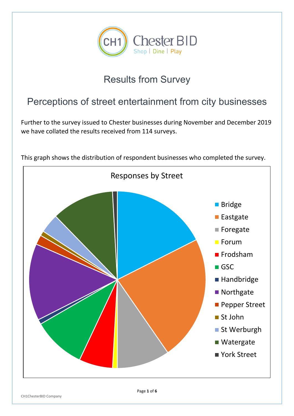

## Results from Survey

## Perceptions of street entertainment from city businesses

Further to the survey issued to Chester businesses during November and December 2019 we have collated the results received from 114 surveys.



This graph shows the distribution of respondent businesses who completed the survey.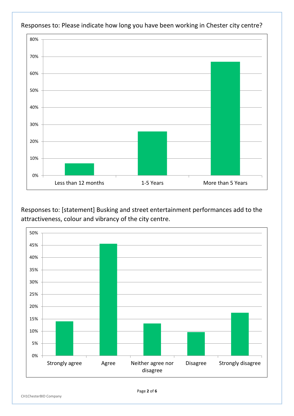

Responses to: Please indicate how long you have been working in Chester city centre?

Responses to: [statement] Busking and street entertainment performances add to the attractiveness, colour and vibrancy of the city centre.

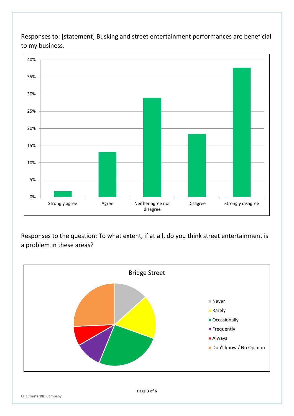Responses to: [statement] Busking and street entertainment performances are beneficial to my business.



Responses to the question: To what extent, if at all, do you think street entertainment is a problem in these areas?

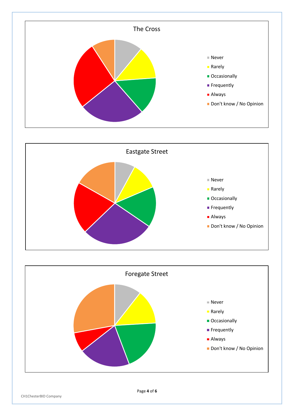



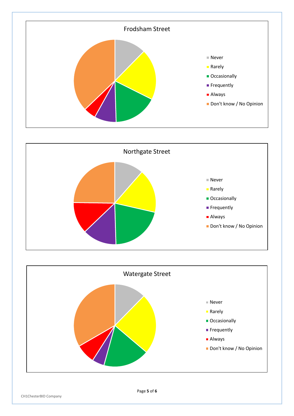